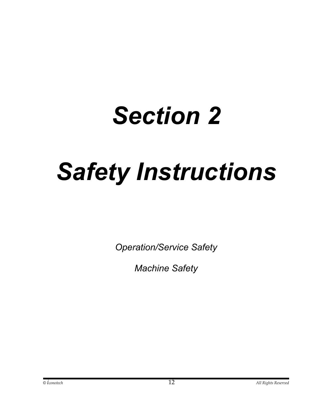# *Section 2*

# *Safety Instructions*

*Operation/Service Safety* 

*Machine Safety*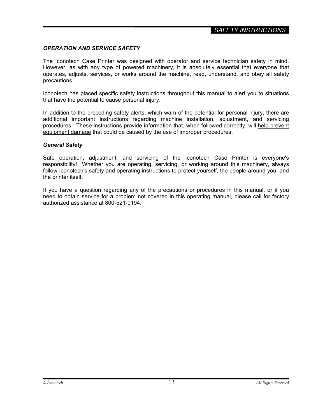# *OPERATION AND SERVICE SAFETY*

The Iconotech Case Printer was designed with operator and service technician safety in mind. However, as with any type of powered machinery, it is absolutely essential that everyone that operates, adjusts, services, or works around the machine, read, understand, and obey all safety precautions.

Iconotech has placed specific safety instructions throughout this manual to alert you to situations that have the potential to cause personal injury.

In addition to the preceding safety alerts, which warn of the potential for personal injury, there are additional important instructions regarding machine installation, adjustment, and servicing procedures. These instructions provide information that, when followed correctly, will help prevent equipment damage that could be caused by the use of improper procedures.

#### *General Safety*

Safe operation, adjustment, and servicing of the Iconotech Case Printer is everyone's responsibility! Whether you are operating, servicing, or working around this machinery, always follow Iconotech's safety and operating instructions to protect yourself, the people around you, and the printer itself.

If you have a question regarding any of the precautions or procedures in this manual, or if you need to obtain service for a problem not covered in this operating manual, please call for factory authorized assistance at 800-521-0194.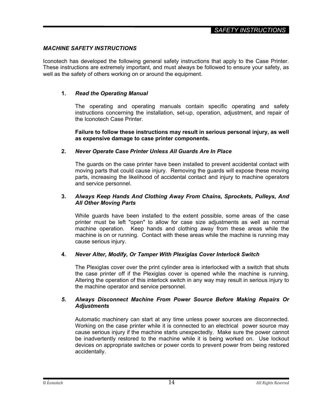# *MACHINE SAFETY INSTRUCTIONS*

Iconotech has developed the following general safety instructions that apply to the Case Printer. These instructions are extremely important, and must always be followed to ensure your safety, as well as the safety of others working on or around the equipment.

# **1.** *Read the Operating Manual*

 The operating and operating manuals contain specific operating and safety instructions concerning the installation, set-up, operation, adjustment, and repair of the Iconotech Case Printer.

#### **Failure to follow these instructions may result in serious personal injury, as well as expensive damage to case printer components.**

## **2.** *Never Operate Case Printer Unless All Guards Are In Place*

The guards on the case printer have been installed to prevent accidental contact with moving parts that could cause injury. Removing the guards will expose these moving parts, increasing the likelihood of accidental contact and injury to machine operators and service personnel.

#### **3.** *Always Keep Hands And Clothing Away From Chains, Sprockets, Pulleys, And All Other Moving Parts*

 While guards have been installed to the extent possible, some areas of the case printer must be left "open" to allow for case size adjustments as well as normal machine operation. Keep hands and clothing away from these areas while the machine is on or running. Contact with these areas while the machine is running may cause serious injury.

## **4.** *Never Alter, Modify, Or Tamper With Plexiglas Cover Interlock Switch*

The Plexiglas cover over the print cylinder area is interlocked with a switch that shuts the case printer off if the Plexiglas cover is opened while the machine is running. Altering the operation of this interlock switch in any way may result in serious injury to the machine operator and service personnel.

#### *5. Always Disconnect Machine From Power Source Before Making Repairs Or Adjustments*

Automatic machinery can start at any time unless power sources are disconnected. Working on the case printer while it is connected to an electrical power source may cause serious injury if the machine starts unexpectedly. Make sure the power cannot be inadvertently restored to the machine while it is being worked on. Use lockout devices on appropriate switches or power cords to prevent power from being restored accidentally.